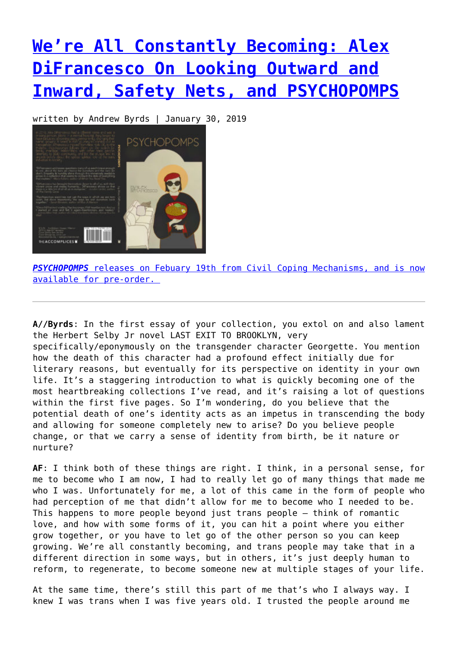## **[We're All Constantly Becoming: Alex](https://entropymag.org/alex-difrancesco-interview/) [DiFrancesco On Looking Outward and](https://entropymag.org/alex-difrancesco-interview/) [Inward, Safety Nets, and PSYCHOPOMPS](https://entropymag.org/alex-difrancesco-interview/)**

written by Andrew Byrds | January 30, 2019



*[PSYCHOPOMPS](http://theaccomplices.org/portfolio/psychopomps-by-alex-difrancesco/)* [releases on Febuary 19th from Civil Coping Mechanisms, and is now](http://theaccomplices.org/portfolio/psychopomps-by-alex-difrancesco/) [available for pre-order.](http://theaccomplices.org/portfolio/psychopomps-by-alex-difrancesco/) 

**A//Byrds**: In the first essay of your collection, you extol on and also lament the Herbert Selby Jr novel LAST EXIT TO BROOKLYN, very specifically/eponymously on the transgender character Georgette. You mention how the death of this character had a profound effect initially due for literary reasons, but eventually for its perspective on identity in your own life. It's a staggering introduction to what is quickly becoming one of the most heartbreaking collections I've read, and it's raising a lot of questions within the first five pages. So I'm wondering, do you believe that the potential death of one's identity acts as an impetus in transcending the body and allowing for someone completely new to arise? Do you believe people change, or that we carry a sense of identity from birth, be it nature or nurture?

**AF**: I think both of these things are right. I think, in a personal sense, for me to become who I am now, I had to really let go of many things that made me who I was. Unfortunately for me, a lot of this came in the form of people who had perception of me that didn't allow for me to become who I needed to be. This happens to more people beyond just trans people — think of romantic love, and how with some forms of it, you can hit a point where you either grow together, or you have to let go of the other person so you can keep growing. We're all constantly becoming, and trans people may take that in a different direction in some ways, but in others, it's just deeply human to reform, to regenerate, to become someone new at multiple stages of your life.

At the same time, there's still this part of me that's who I always way. I knew I was trans when I was five years old. I trusted the people around me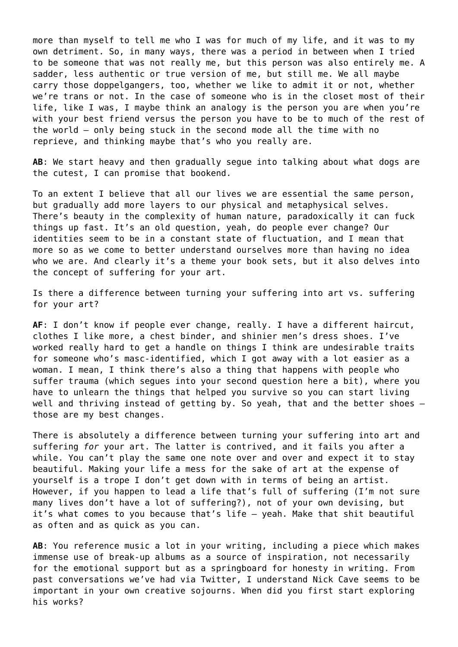more than myself to tell me who I was for much of my life, and it was to my own detriment. So, in many ways, there was a period in between when I tried to be someone that was not really me, but this person was also entirely me. A sadder, less authentic or true version of me, but still me. We all maybe carry those doppelgangers, too, whether we like to admit it or not, whether we're trans or not. In the case of someone who is in the closet most of their life, like I was, I maybe think an analogy is the person you are when you're with your best friend versus the person you have to be to much of the rest of the world — only being stuck in the second mode all the time with no reprieve, and thinking maybe that's who you really are.

**AB**: We start heavy and then gradually segue into talking about what dogs are the cutest, I can promise that bookend.

To an extent I believe that all our lives we are essential the same person, but gradually add more layers to our physical and metaphysical selves. There's beauty in the complexity of human nature, paradoxically it can fuck things up fast. It's an old question, yeah, do people ever change? Our identities seem to be in a constant state of fluctuation, and I mean that more so as we come to better understand ourselves more than having no idea who we are. And clearly it's a theme your book sets, but it also delves into the concept of suffering for your art.

Is there a difference between turning your suffering into art vs. suffering for your art?

**AF**: I don't know if people ever change, really. I have a different haircut, clothes I like more, a chest binder, and shinier men's dress shoes. I've worked really hard to get a handle on things I think are undesirable traits for someone who's masc-identified, which I got away with a lot easier as a woman. I mean, I think there's also a thing that happens with people who suffer trauma (which segues into your second question here a bit), where you have to unlearn the things that helped you survive so you can start living well and thriving instead of getting by. So yeah, that and the better shoes those are my best changes.

There is absolutely a difference between turning your suffering into art and suffering *for* your art. The latter is contrived, and it fails you after a while. You can't play the same one note over and over and expect it to stay beautiful. Making your life a mess for the sake of art at the expense of yourself is a trope I don't get down with in terms of being an artist. However, if you happen to lead a life that's full of suffering (I'm not sure many lives don't have a lot of suffering?), not of your own devising, but it's what comes to you because that's life — yeah. Make that shit beautiful as often and as quick as you can.

**AB**: You reference music a lot in your writing, including a piece which makes immense use of break-up albums as a source of inspiration, not necessarily for the emotional support but as a springboard for honesty in writing. From past conversations we've had via Twitter, I understand Nick Cave seems to be important in your own creative sojourns. When did you first start exploring his works?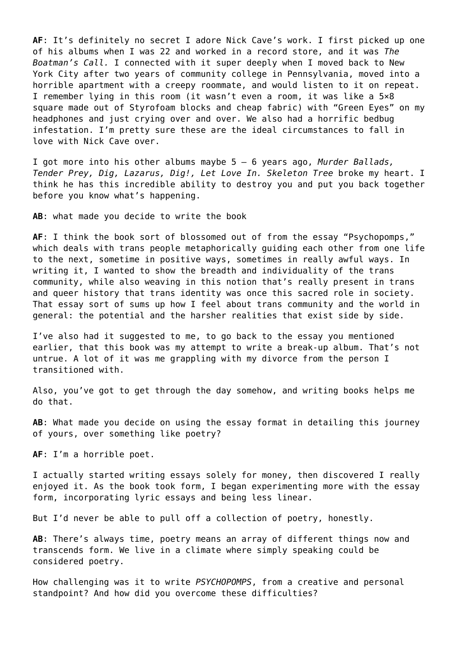**AF**: It's definitely no secret I adore Nick Cave's work. I first picked up one of his albums when I was 22 and worked in a record store, and it was *The Boatman's Call.* I connected with it super deeply when I moved back to New York City after two years of community college in Pennsylvania, moved into a horrible apartment with a creepy roommate, and would listen to it on repeat. I remember lying in this room (it wasn't even a room, it was like a 5×8 square made out of Styrofoam blocks and cheap fabric) with "Green Eyes" on my headphones and just crying over and over. We also had a horrific bedbug infestation. I'm pretty sure these are the ideal circumstances to fall in love with Nick Cave over.

I got more into his other albums maybe 5 – 6 years ago, *Murder Ballads, Tender Prey, Dig, Lazarus, Dig!, Let Love In. Skeleton Tree* broke my heart. I think he has this incredible ability to destroy you and put you back together before you know what's happening.

**AB**: what made you decide to write the book

**AF**: I think the book sort of blossomed out of from the essay "Psychopomps," which deals with trans people metaphorically guiding each other from one life to the next, sometime in positive ways, sometimes in really awful ways. In writing it, I wanted to show the breadth and individuality of the trans community, while also weaving in this notion that's really present in trans and queer history that trans identity was once this sacred role in society. That essay sort of sums up how I feel about trans community and the world in general: the potential and the harsher realities that exist side by side.

I've also had it suggested to me, to go back to the essay you mentioned earlier, that this book was my attempt to write a break-up album. That's not untrue. A lot of it was me grappling with my divorce from the person I transitioned with.

Also, you've got to get through the day somehow, and writing books helps me do that.

**AB**: What made you decide on using the essay format in detailing this journey of yours, over something like poetry?

**AF**: I'm a horrible poet.

I actually started writing essays solely for money, then discovered I really enjoyed it. As the book took form, I began experimenting more with the essay form, incorporating lyric essays and being less linear.

But I'd never be able to pull off a collection of poetry, honestly.

**AB**: There's always time, poetry means an array of different things now and transcends form. We live in a climate where simply speaking could be considered poetry.

How challenging was it to write *PSYCHOPOMPS*, from a creative and personal standpoint? And how did you overcome these difficulties?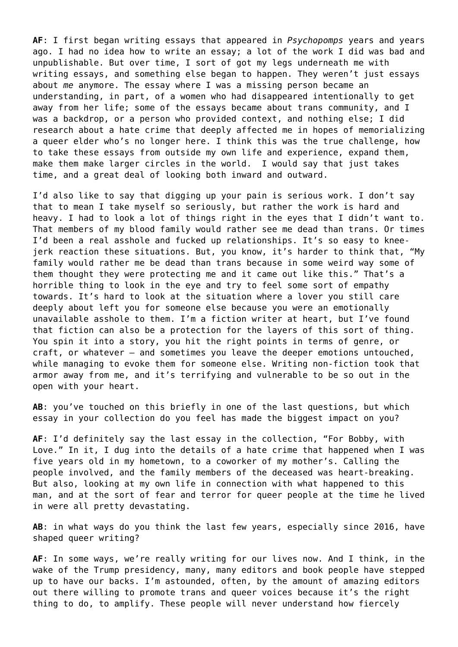**AF**: I first began writing essays that appeared in *Psychopomps* years and years ago. I had no idea how to write an essay; a lot of the work I did was bad and unpublishable. But over time, I sort of got my legs underneath me with writing essays, and something else began to happen. They weren't just essays about *me* anymore. The essay where I was a missing person became an understanding, in part, of a women who had disappeared intentionally to get away from her life; some of the essays became about trans community, and I was a backdrop, or a person who provided context, and nothing else; I did research about a hate crime that deeply affected me in hopes of memorializing a queer elder who's no longer here. I think this was the true challenge, how to take these essays from outside my own life and experience, expand them, make them make larger circles in the world. I would say that just takes time, and a great deal of looking both inward and outward.

I'd also like to say that digging up your pain is serious work. I don't say that to mean I take myself so seriously, but rather the work is hard and heavy. I had to look a lot of things right in the eyes that I didn't want to. That members of my blood family would rather see me dead than trans. Or times I'd been a real asshole and fucked up relationships. It's so easy to kneejerk reaction these situations. But, you know, it's harder to think that, "My family would rather me be dead than trans because in some weird way some of them thought they were protecting me and it came out like this." That's a horrible thing to look in the eye and try to feel some sort of empathy towards. It's hard to look at the situation where a lover you still care deeply about left you for someone else because you were an emotionally unavailable asshole to them. I'm a fiction writer at heart, but I've found that fiction can also be a protection for the layers of this sort of thing. You spin it into a story, you hit the right points in terms of genre, or craft, or whatever — and sometimes you leave the deeper emotions untouched, while managing to evoke them for someone else. Writing non-fiction took that armor away from me, and it's terrifying and vulnerable to be so out in the open with your heart.

**AB**: you've touched on this briefly in one of the last questions, but which essay in your collection do you feel has made the biggest impact on you?

**AF**: I'd definitely say the last essay in the collection, "For Bobby, with Love." In it, I dug into the details of a hate crime that happened when I was five years old in my hometown, to a coworker of my mother's. Calling the people involved, and the family members of the deceased was heart-breaking. But also, looking at my own life in connection with what happened to this man, and at the sort of fear and terror for queer people at the time he lived in were all pretty devastating.

**AB**: in what ways do you think the last few years, especially since 2016, have shaped queer writing?

**AF**: In some ways, we're really writing for our lives now. And I think, in the wake of the Trump presidency, many, many editors and book people have stepped up to have our backs. I'm astounded, often, by the amount of amazing editors out there willing to promote trans and queer voices because it's the right thing to do, to amplify. These people will never understand how fiercely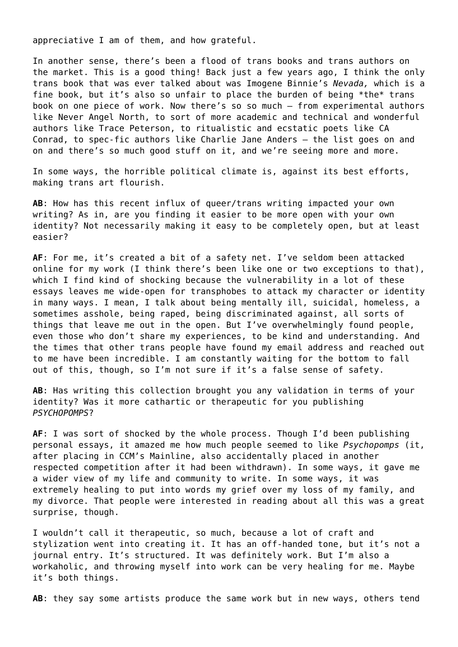appreciative I am of them, and how grateful.

In another sense, there's been a flood of trans books and trans authors on the market. This is a good thing! Back just a few years ago, I think the only trans book that was ever talked about was Imogene Binnie's *Nevada,* which is a fine book, but it's also so unfair to place the burden of being \*the\* trans book on one piece of work. Now there's so so much — from experimental authors like Never Angel North, to sort of more academic and technical and wonderful authors like Trace Peterson, to ritualistic and ecstatic poets like CA Conrad, to spec-fic authors like Charlie Jane Anders — the list goes on and on and there's so much good stuff on it, and we're seeing more and more.

In some ways, the horrible political climate is, against its best efforts, making trans art flourish.

**AB**: How has this recent influx of queer/trans writing impacted your own writing? As in, are you finding it easier to be more open with your own identity? Not necessarily making it easy to be completely open, but at least easier?

**AF**: For me, it's created a bit of a safety net. I've seldom been attacked online for my work (I think there's been like one or two exceptions to that), which I find kind of shocking because the vulnerability in a lot of these essays leaves me wide-open for transphobes to attack my character or identity in many ways. I mean, I talk about being mentally ill, suicidal, homeless, a sometimes asshole, being raped, being discriminated against, all sorts of things that leave me out in the open. But I've overwhelmingly found people, even those who don't share my experiences, to be kind and understanding. And the times that other trans people have found my email address and reached out to me have been incredible. I am constantly waiting for the bottom to fall out of this, though, so I'm not sure if it's a false sense of safety.

**AB**: Has writing this collection brought you any validation in terms of your identity? Was it more cathartic or therapeutic for you publishing *PSYCHOPOMPS*?

**AF**: I was sort of shocked by the whole process. Though I'd been publishing personal essays, it amazed me how much people seemed to like *Psychopomps* (it, after placing in CCM's Mainline, also accidentally placed in another respected competition after it had been withdrawn). In some ways, it gave me a wider view of my life and community to write. In some ways, it was extremely healing to put into words my grief over my loss of my family, and my divorce. That people were interested in reading about all this was a great surprise, though.

I wouldn't call it therapeutic, so much, because a lot of craft and stylization went into creating it. It has an off-handed tone, but it's not a journal entry. It's structured. It was definitely work. But I'm also a workaholic, and throwing myself into work can be very healing for me. Maybe it's both things.

**AB**: they say some artists produce the same work but in new ways, others tend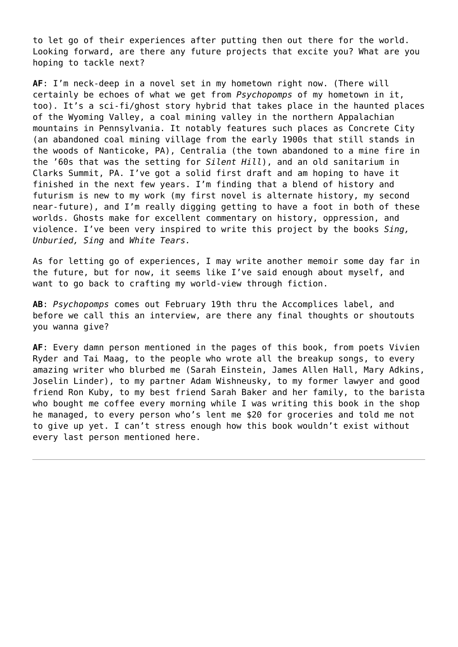to let go of their experiences after putting then out there for the world. Looking forward, are there any future projects that excite you? What are you hoping to tackle next?

**AF**: I'm neck-deep in a novel set in my hometown right now. (There will certainly be echoes of what we get from *Psychopomps* of my hometown in it, too). It's a sci-fi/ghost story hybrid that takes place in the haunted places of the Wyoming Valley, a coal mining valley in the northern Appalachian mountains in Pennsylvania. It notably features such places as Concrete City (an abandoned coal mining village from the early 1900s that still stands in the woods of Nanticoke, PA), Centralia (the town abandoned to a mine fire in the '60s that was the setting for *Silent Hill*), and an old sanitarium in Clarks Summit, PA. I've got a solid first draft and am hoping to have it finished in the next few years. I'm finding that a blend of history and futurism is new to my work (my first novel is alternate history, my second near-future), and I'm really digging getting to have a foot in both of these worlds. Ghosts make for excellent commentary on history, oppression, and violence. I've been very inspired to write this project by the books *Sing, Unburied, Sing* and *White Tears.*

As for letting go of experiences, I may write another memoir some day far in the future, but for now, it seems like I've said enough about myself, and want to go back to crafting my world-view through fiction.

**AB**: *Psychopomps* comes out February 19th thru the Accomplices label, and before we call this an interview, are there any final thoughts or shoutouts you wanna give?

**AF**: Every damn person mentioned in the pages of this book, from poets Vivien Ryder and Tai Maag, to the people who wrote all the breakup songs, to every amazing writer who blurbed me (Sarah Einstein, James Allen Hall, Mary Adkins, Joselin Linder), to my partner Adam Wishneusky, to my former lawyer and good friend Ron Kuby, to my best friend Sarah Baker and her family, to the barista who bought me coffee every morning while I was writing this book in the shop he managed, to every person who's lent me \$20 for groceries and told me not to give up yet. I can't stress enough how this book wouldn't exist without every last person mentioned here.